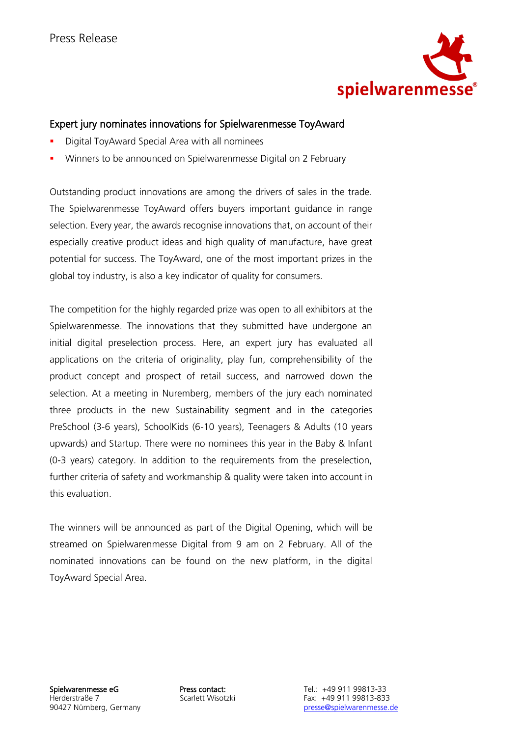

# Expert jury nominates innovations for Spielwarenmesse ToyAward

- Digital ToyAward Special Area with all nominees
- Winners to be announced on Spielwarenmesse Digital on 2 February

Outstanding product innovations are among the drivers of sales in the trade. The Spielwarenmesse ToyAward offers buyers important guidance in range selection. Every year, the awards recognise innovations that, on account of their especially creative product ideas and high quality of manufacture, have great potential for success. The ToyAward, one of the most important prizes in the global toy industry, is also a key indicator of quality for consumers.

The competition for the highly regarded prize was open to all exhibitors at the Spielwarenmesse. The innovations that they submitted have undergone an initial digital preselection process. Here, an expert jury has evaluated all applications on the criteria of originality, play fun, comprehensibility of the product concept and prospect of retail success, and narrowed down the selection. At a meeting in Nuremberg, members of the jury each nominated three products in the new Sustainability segment and in the categories PreSchool (3-6 years), SchoolKids (6-10 years), Teenagers & Adults (10 years upwards) and Startup. There were no nominees this year in the Baby & Infant (0-3 years) category. In addition to the requirements from the preselection, further criteria of safety and workmanship & quality were taken into account in this evaluation.

The winners will be announced as part of the Digital Opening, which will be streamed on Spielwarenmesse Digital from 9 am on 2 February. All of the nominated innovations can be found on the new platform, in the digital ToyAward Special Area.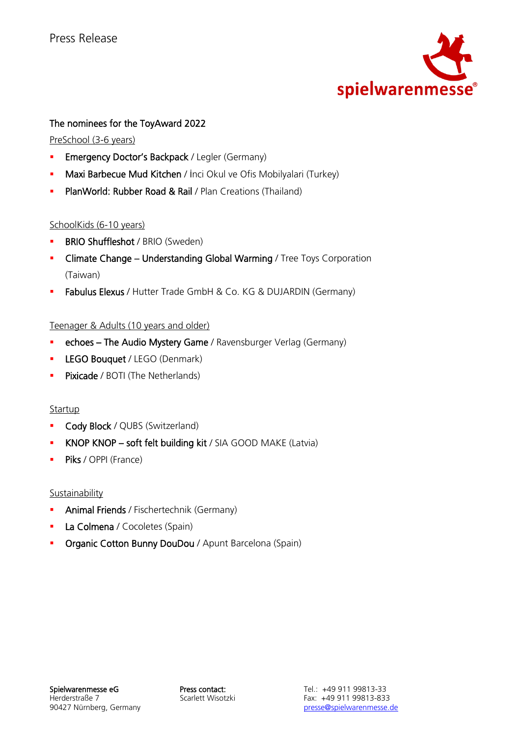

# The nominees for the ToyAward 2022

PreSchool (3-6 years)

- **Emergency Doctor's Backpack / Legler (Germany)**
- **Maxi Barbecue Mud Kitchen** / İnci Okul ve Ofis Mobilyalari (Turkey)
- **PlanWorld: Rubber Road & Rail / Plan Creations (Thailand)**

# SchoolKids (6-10 years)

- **BRIO Shuffleshot / BRIO (Sweden)**
- Climate Change Understanding Global Warming / Tree Toys Corporation (Taiwan)
- **E** Fabulus Elexus / Hutter Trade GmbH & Co. KG & DUJARDIN (Germany)

### Teenager & Adults (10 years and older)

- **echoes The Audio Mystery Game** / Ravensburger Verlag (Germany)
- **E** LEGO Bouquet / LEGO (Denmark)
- **Pixicade** / BOTI (The Netherlands)

# Startup

- **Cody Block / QUBS (Switzerland)**
- **KNOP KNOP soft felt building kit / SIA GOOD MAKE (Latvia)**
- **Piks** / OPPI (France)

Sustainability

- **Animal Friends** / Fischertechnik (Germany)
- **La Colmena / Cocoletes (Spain)**
- **Organic Cotton Bunny DouDou** / Apunt Barcelona (Spain)